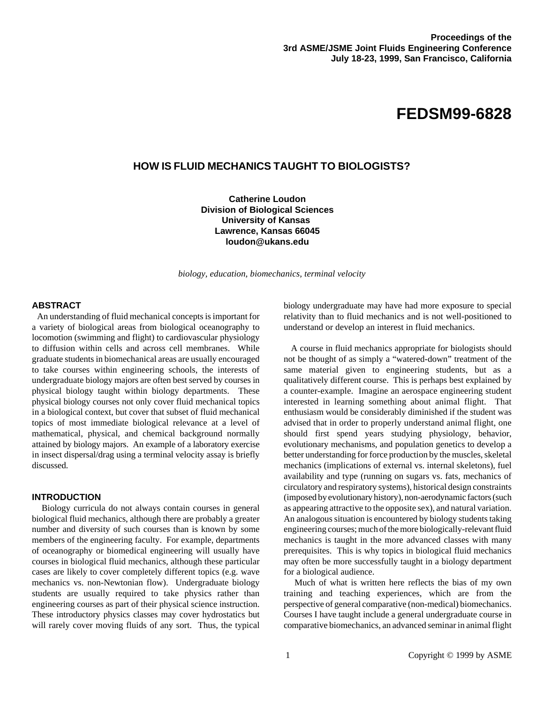# **FEDSM99-6828**

# **HOW IS FLUID MECHANICS TAUGHT TO BIOLOGISTS?**

**Catherine Loudon Division of Biological Sciences University of Kansas Lawrence, Kansas 66045 loudon@ukans.edu**

*biology, education, biomechanics, terminal velocity*

#### **ABSTRACT**

 An understanding of fluid mechanical concepts is important for a variety of biological areas from biological oceanography to locomotion (swimming and flight) to cardiovascular physiology to diffusion within cells and across cell membranes. While graduate students in biomechanical areas are usually encouraged to take courses within engineering schools, the interests of undergraduate biology majors are often best served by courses in physical biology taught within biology departments. These physical biology courses not only cover fluid mechanical topics in a biological context, but cover that subset of fluid mechanical topics of most immediate biological relevance at a level of mathematical, physical, and chemical background normally attained by biology majors. An example of a laboratory exercise in insect dispersal/drag using a terminal velocity assay is briefly discussed.

# **INTRODUCTION**

 Biology curricula do not always contain courses in general biological fluid mechanics, although there are probably a greater number and diversity of such courses than is known by some members of the engineering faculty. For example, departments of oceanography or biomedical engineering will usually have courses in biological fluid mechanics, although these particular cases are likely to cover completely different topics (e.g. wave mechanics vs. non-Newtonian flow). Undergraduate biology students are usually required to take physics rather than engineering courses as part of their physical science instruction. These introductory physics classes may cover hydrostatics but will rarely cover moving fluids of any sort. Thus, the typical

biology undergraduate may have had more exposure to special relativity than to fluid mechanics and is not well-positioned to understand or develop an interest in fluid mechanics.

 A course in fluid mechanics appropriate for biologists should not be thought of as simply a "watered-down" treatment of the same material given to engineering students, but as a qualitatively different course. This is perhaps best explained by a counter-example. Imagine an aerospace engineering student interested in learning something about animal flight. That enthusiasm would be considerably diminished if the student was advised that in order to properly understand animal flight, one should first spend years studying physiology, behavior, evolutionary mechanisms, and population genetics to develop a better understanding for force production by the muscles, skeletal mechanics (implications of external vs. internal skeletons), fuel availability and type (running on sugars vs. fats, mechanics of circulatory and respiratory systems), historical design constraints (imposed by evolutionary history), non-aerodynamic factors (such as appearing attractive to the opposite sex), and natural variation. An analogous situation is encountered by biology students taking engineering courses; much of the more biologically-relevant fluid mechanics is taught in the more advanced classes with many prerequisites. This is why topics in biological fluid mechanics may often be more successfully taught in a biology department for a biological audience.

 Much of what is written here reflects the bias of my own training and teaching experiences, which are from the perspective of general comparative (non-medical) biomechanics. Courses I have taught include a general undergraduate course in comparative biomechanics, an advanced seminar in animal flight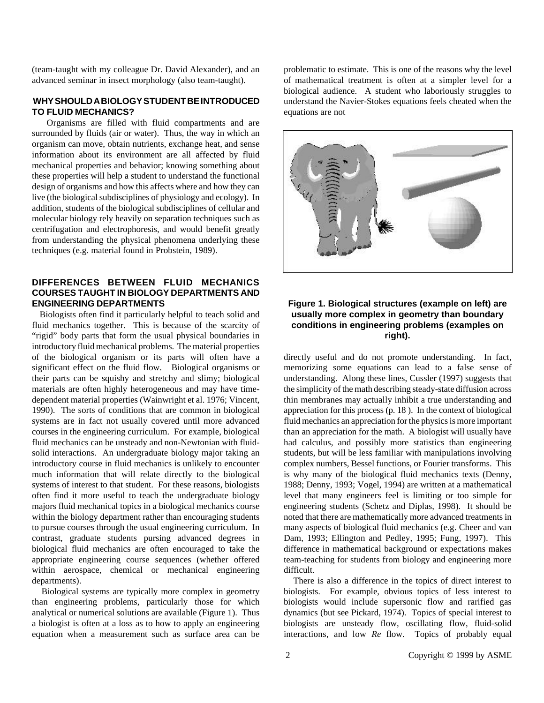(team-taught with my colleague Dr. David Alexander), and an advanced seminar in insect morphology (also team-taught).

### **WHYSHOULDABIOLOGYSTUDENTBEINTRODUCED TO FLUID MECHANICS?**

 Organisms are filled with fluid compartments and are surrounded by fluids (air or water). Thus, the way in which an organism can move, obtain nutrients, exchange heat, and sense information about its environment are all affected by fluid mechanical properties and behavior; knowing something about these properties will help a student to understand the functional design of organisms and how this affects where and how they can live (the biological subdisciplines of physiology and ecology). In addition, students of the biological subdisciplines of cellular and molecular biology rely heavily on separation techniques such as centrifugation and electrophoresis, and would benefit greatly from understanding the physical phenomena underlying these techniques (e.g. material found in Probstein, 1989).

## **DIFFERENCES BETWEEN FLUID MECHANICS COURSES TAUGHT IN BIOLOGY DEPARTMENTS AND ENGINEERING DEPARTMENTS**

 Biologists often find it particularly helpful to teach solid and fluid mechanics together. This is because of the scarcity of "rigid" body parts that form the usual physical boundaries in introductory fluid mechanical problems. The material properties of the biological organism or its parts will often have a significant effect on the fluid flow. Biological organisms or their parts can be squishy and stretchy and slimy; biological materials are often highly heterogeneous and may have timedependent material properties (Wainwright et al. 1976; Vincent, 1990). The sorts of conditions that are common in biological systems are in fact not usually covered until more advanced courses in the engineering curriculum. For example, biological fluid mechanics can be unsteady and non-Newtonian with fluidsolid interactions. An undergraduate biology major taking an introductory course in fluid mechanics is unlikely to encounter much information that will relate directly to the biological systems of interest to that student. For these reasons, biologists often find it more useful to teach the undergraduate biology majors fluid mechanical topics in a biological mechanics course within the biology department rather than encouraging students to pursue courses through the usual engineering curriculum. In contrast, graduate students pursing advanced degrees in biological fluid mechanics are often encouraged to take the appropriate engineering course sequences (whether offered within aerospace, chemical or mechanical engineering departments).

 Biological systems are typically more complex in geometry than engineering problems, particularly those for which analytical or numerical solutions are available (Figure 1). Thus a biologist is often at a loss as to how to apply an engineering equation when a measurement such as surface area can be problematic to estimate. This is one of the reasons why the level of mathematical treatment is often at a simpler level for a biological audience. A student who laboriously struggles to understand the Navier-Stokes equations feels cheated when the equations are not



# **Figure 1. Biological structures (example on left) are usually more complex in geometry than boundary conditions in engineering problems (examples on right).**

directly useful and do not promote understanding. In fact, memorizing some equations can lead to a false sense of understanding. Along these lines, Cussler (1997) suggests that the simplicity of the math describing steady-state diffusion across thin membranes may actually inhibit a true understanding and appreciation for this process (p. 18 ). In the context of biological fluid mechanics an appreciation for the physics is more important than an appreciation for the math. A biologist will usually have had calculus, and possibly more statistics than engineering students, but will be less familiar with manipulations involving complex numbers, Bessel functions, or Fourier transforms. This is why many of the biological fluid mechanics texts (Denny, 1988; Denny, 1993; Vogel, 1994) are written at a mathematical level that many engineers feel is limiting or too simple for engineering students (Schetz and Diplas, 1998). It should be noted that there are mathematically more advanced treatments in many aspects of biological fluid mechanics (e.g. Cheer and van Dam, 1993; Ellington and Pedley, 1995; Fung, 1997). This difference in mathematical background or expectations makes team-teaching for students from biology and engineering more difficult.

 There is also a difference in the topics of direct interest to biologists. For example, obvious topics of less interest to biologists would include supersonic flow and rarified gas dynamics (but see Pickard, 1974). Topics of special interest to biologists are unsteady flow, oscillating flow, fluid-solid interactions, and low *Re* flow. Topics of probably equal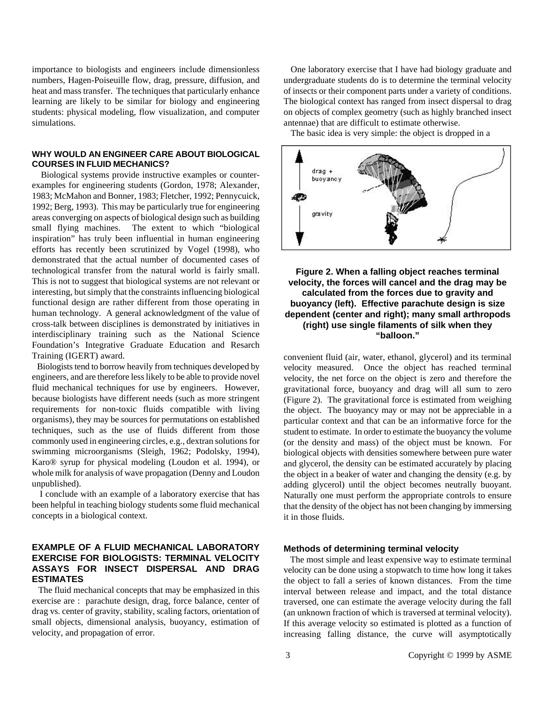importance to biologists and engineers include dimensionless numbers, Hagen-Poiseuille flow, drag, pressure, diffusion, and heat and mass transfer. The techniques that particularly enhance learning are likely to be similar for biology and engineering students: physical modeling, flow visualization, and computer simulations.

### **WHY WOULD AN ENGINEER CARE ABOUT BIOLOGICAL COURSES IN FLUID MECHANICS?**

 Biological systems provide instructive examples or counterexamples for engineering students (Gordon, 1978; Alexander, 1983; McMahon and Bonner, 1983; Fletcher, 1992; Pennycuick, 1992; Berg, 1993). This may be particularly true for engineering areas converging on aspects of biological design such as building small flying machines. The extent to which "biological inspiration" has truly been influential in human engineering efforts has recently been scrutinized by Vogel (1998), who demonstrated that the actual number of documented cases of technological transfer from the natural world is fairly small. This is not to suggest that biological systems are not relevant or interesting, but simply that the constraints influencing biological functional design are rather different from those operating in human technology. A general acknowledgment of the value of cross-talk between disciplines is demonstrated by initiatives in interdisciplinary training such as the National Science Foundation's Integrative Graduate Education and Resarch Training (IGERT) award.

 Biologists tend to borrow heavily from techniques developed by engineers, and are therefore less likely to be able to provide novel fluid mechanical techniques for use by engineers. However, because biologists have different needs (such as more stringent requirements for non-toxic fluids compatible with living organisms), they may be sources for permutations on established techniques, such as the use of fluids different from those commonly used in engineering circles, e.g., dextran solutions for swimming microorganisms (Sleigh, 1962; Podolsky, 1994), Karo® syrup for physical modeling (Loudon et al. 1994), or whole milk for analysis of wave propagation (Denny and Loudon unpublished).

 I conclude with an example of a laboratory exercise that has been helpful in teaching biology students some fluid mechanical concepts in a biological context.

# **EXAMPLE OF A FLUID MECHANICAL LABORATORY EXERCISE FOR BIOLOGISTS: TERMINAL VELOCITY ASSAYS FOR INSECT DISPERSAL AND DRAG ESTIMATES**

 The fluid mechanical concepts that may be emphasized in this exercise are : parachute design, drag, force balance, center of drag vs. center of gravity, stability, scaling factors, orientation of small objects, dimensional analysis, buoyancy, estimation of velocity, and propagation of error.

 One laboratory exercise that I have had biology graduate and undergraduate students do is to determine the terminal velocity of insects or their component parts under a variety of conditions. The biological context has ranged from insect dispersal to drag on objects of complex geometry (such as highly branched insect antennae) that are difficult to estimate otherwise.

The basic idea is very simple: the object is dropped in a



## **Figure 2. When a falling object reaches terminal velocity, the forces will cancel and the drag may be calculated from the forces due to gravity and buoyancy (left). Effective parachute design is size dependent (center and right); many small arthropods (right) use single filaments of silk when they "balloon."**

convenient fluid (air, water, ethanol, glycerol) and its terminal velocity measured. Once the object has reached terminal velocity, the net force on the object is zero and therefore the gravitational force, buoyancy and drag will all sum to zero (Figure 2). The gravitational force is estimated from weighing the object. The buoyancy may or may not be appreciable in a particular context and that can be an informative force for the student to estimate. In order to estimate the buoyancy the volume (or the density and mass) of the object must be known. For biological objects with densities somewhere between pure water and glycerol, the density can be estimated accurately by placing the object in a beaker of water and changing the density (e.g. by adding glycerol) until the object becomes neutrally buoyant. Naturally one must perform the appropriate controls to ensure that the density of the object has not been changing by immersing it in those fluids.

# **Methods of determining terminal velocity**

 The most simple and least expensive way to estimate terminal velocity can be done using a stopwatch to time how long it takes the object to fall a series of known distances. From the time interval between release and impact, and the total distance traversed, one can estimate the average velocity during the fall (an unknown fraction of which is traversed at terminal velocity). If this average velocity so estimated is plotted as a function of increasing falling distance, the curve will asymptotically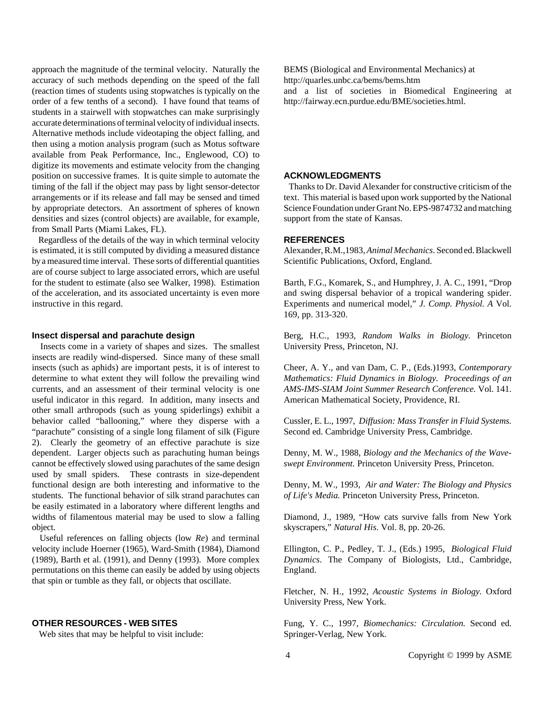approach the magnitude of the terminal velocity. Naturally the accuracy of such methods depending on the speed of the fall (reaction times of students using stopwatches is typically on the order of a few tenths of a second). I have found that teams of students in a stairwell with stopwatches can make surprisingly accurate determinations of terminal velocity of individual insects. Alternative methods include videotaping the object falling, and then using a motion analysis program (such as Motus software available from Peak Performance, Inc., Englewood, CO) to digitize its movements and estimate velocity from the changing position on successive frames. It is quite simple to automate the timing of the fall if the object may pass by light sensor-detector arrangements or if its release and fall may be sensed and timed by appropriate detectors. An assortment of spheres of known densities and sizes (control objects) are available, for example, from Small Parts (Miami Lakes, FL).

 Regardless of the details of the way in which terminal velocity is estimated, it is still computed by dividing a measured distance by a measured time interval. These sorts of differential quantities are of course subject to large associated errors, which are useful for the student to estimate (also see Walker, 1998). Estimation of the acceleration, and its associated uncertainty is even more instructive in this regard.

#### **Insect dispersal and parachute design**

 Insects come in a variety of shapes and sizes. The smallest insects are readily wind-dispersed. Since many of these small insects (such as aphids) are important pests, it is of interest to determine to what extent they will follow the prevailing wind currents, and an assessment of their terminal velocity is one useful indicator in this regard. In addition, many insects and other small arthropods (such as young spiderlings) exhibit a behavior called "ballooning," where they disperse with a "parachute" consisting of a single long filament of silk (Figure 2). Clearly the geometry of an effective parachute is size dependent. Larger objects such as parachuting human beings cannot be effectively slowed using parachutes of the same design used by small spiders. These contrasts in size-dependent functional design are both interesting and informative to the students. The functional behavior of silk strand parachutes can be easily estimated in a laboratory where different lengths and widths of filamentous material may be used to slow a falling object.

 Useful references on falling objects (low *Re*) and terminal velocity include Hoerner (1965), Ward-Smith (1984), Diamond (1989), Barth et al. (1991), and Denny (1993). More complex permutations on this theme can easily be added by using objects that spin or tumble as they fall, or objects that oscillate.

#### **OTHER RESOURCES - WEB SITES**

Web sites that may be helpful to visit include:

BEMS (Biological and Environmental Mechanics) at http://quarles.unbc.ca/bems/bems.htm and a list of societies in Biomedical Engineering at http://fairway.ecn.purdue.edu/BME/societies.html.

#### **ACKNOWLEDGMENTS**

 Thanks to Dr. David Alexander for constructive criticism of the text. This material is based upon work supported by the National Science Foundation under Grant No. EPS-9874732 and matching support from the state of Kansas.

## **REFERENCES**

Alexander, R.M.,1983, *Animal Mechanics*. Second ed. Blackwell Scientific Publications, Oxford, England.

Barth, F.G., Komarek, S., and Humphrey, J. A. C., 1991, "Drop and swing dispersal behavior of a tropical wandering spider. Experiments and numerical model," *J. Comp. Physiol. A* Vol. 169, pp. 313-320.

Berg, H.C., 1993, *Random Walks in Biology.* Princeton University Press, Princeton, NJ.

Cheer, A. Y., and van Dam, C. P., (Eds.)1993, *Contemporary Mathematics: Fluid Dynamics in Biology. Proceedings of an AMS-IMS-SIAM Joint Summer Research Conference.* Vol. 141. American Mathematical Society, Providence, RI.

Cussler, E. L., 1997, *Diffusion: Mass Transfer in Fluid Systems.* Second ed. Cambridge University Press, Cambridge.

Denny, M. W., 1988, *Biology and the Mechanics of the Waveswept Environment.* Princeton University Press, Princeton.

Denny, M. W., 1993, *Air and Water: The Biology and Physics of Life's Media.* Princeton University Press, Princeton.

Diamond, J., 1989, "How cats survive falls from New York skyscrapers," *Natural His*. Vol. 8, pp. 20-26.

Ellington, C. P., Pedley, T. J., (Eds.) 1995, *Biological Fluid Dynamics*. The Company of Biologists, Ltd., Cambridge, England.

Fletcher, N. H., 1992, *Acoustic Systems in Biology.* Oxford University Press, New York.

Fung, Y. C., 1997, *Biomechanics: Circulation.* Second ed. Springer-Verlag, New York.